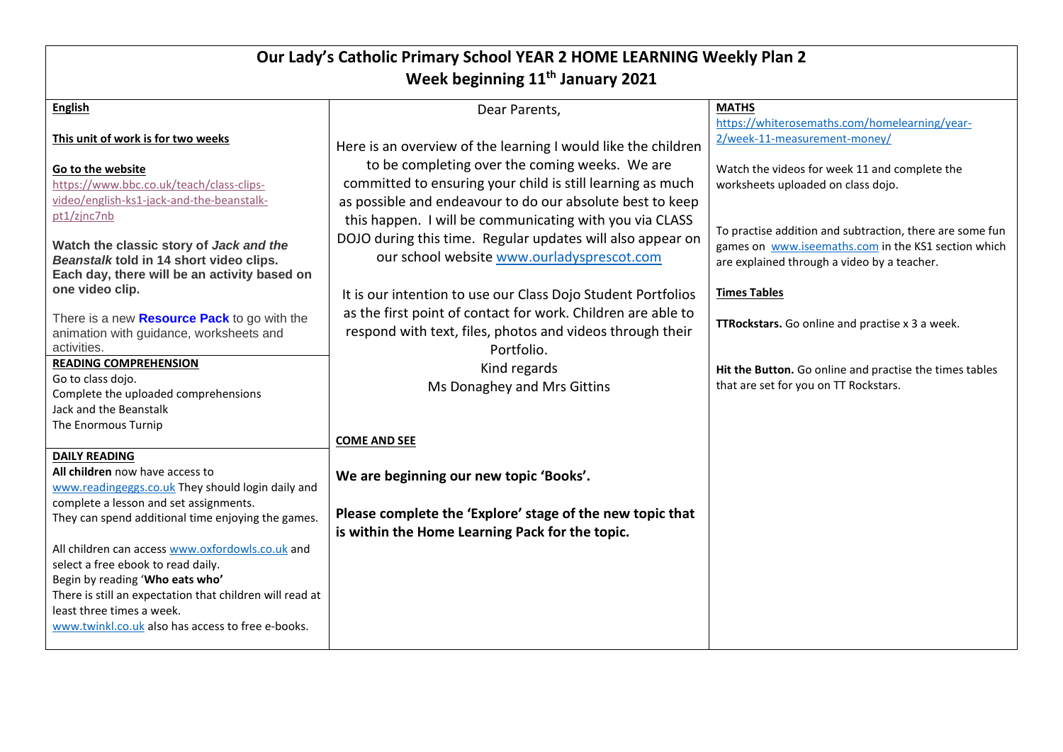| Our Lady's Catholic Primary School YEAR 2 HOME LEARNING Weekly Plan 2<br>Week beginning 11 <sup>th</sup> January 2021                      |                                                                                                                                         |                                                                                                                                                                |  |  |
|--------------------------------------------------------------------------------------------------------------------------------------------|-----------------------------------------------------------------------------------------------------------------------------------------|----------------------------------------------------------------------------------------------------------------------------------------------------------------|--|--|
| <b>English</b>                                                                                                                             | Dear Parents,                                                                                                                           | <b>MATHS</b><br>https://whiterosemaths.com/homelearning/year-                                                                                                  |  |  |
| This unit of work is for two weeks                                                                                                         | Here is an overview of the learning I would like the children                                                                           | 2/week-11-measurement-money/                                                                                                                                   |  |  |
| Go to the website<br>https://www.bbc.co.uk/teach/class-clips-                                                                              | to be completing over the coming weeks. We are<br>committed to ensuring your child is still learning as much                            | Watch the videos for week 11 and complete the<br>worksheets uploaded on class dojo.                                                                            |  |  |
| video/english-ks1-jack-and-the-beanstalk-<br>pt1/zjnc7nb                                                                                   | as possible and endeavour to do our absolute best to keep<br>this happen. I will be communicating with you via CLASS                    |                                                                                                                                                                |  |  |
| Watch the classic story of Jack and the<br>Beanstalk told in 14 short video clips.<br>Each day, there will be an activity based on         | DOJO during this time. Regular updates will also appear on<br>our school website www.ourladysprescot.com                                | To practise addition and subtraction, there are some fun<br>games on www.iseemaths.com in the KS1 section which<br>are explained through a video by a teacher. |  |  |
| one video clip.                                                                                                                            | It is our intention to use our Class Dojo Student Portfolios                                                                            | <b>Times Tables</b>                                                                                                                                            |  |  |
| There is a new <b>Resource Pack</b> to go with the<br>animation with guidance, worksheets and<br>activities.                               | as the first point of contact for work. Children are able to<br>respond with text, files, photos and videos through their<br>Portfolio. | TTRockstars. Go online and practise x 3 a week.                                                                                                                |  |  |
| <b>READING COMPREHENSION</b><br>Go to class dojo.<br>Complete the uploaded comprehensions<br>Jack and the Beanstalk<br>The Enormous Turnip | Kind regards<br>Ms Donaghey and Mrs Gittins                                                                                             | Hit the Button. Go online and practise the times tables<br>that are set for you on TT Rockstars.                                                               |  |  |
|                                                                                                                                            | <b>COME AND SEE</b>                                                                                                                     |                                                                                                                                                                |  |  |
| <b>DAILY READING</b><br>All children now have access to<br>www.readingeggs.co.uk They should login daily and                               | We are beginning our new topic 'Books'.                                                                                                 |                                                                                                                                                                |  |  |
| complete a lesson and set assignments.<br>They can spend additional time enjoying the games.                                               | Please complete the 'Explore' stage of the new topic that<br>is within the Home Learning Pack for the topic.                            |                                                                                                                                                                |  |  |
| All children can access www.oxfordowls.co.uk and<br>select a free ebook to read daily.<br>Begin by reading 'Who eats who'                  |                                                                                                                                         |                                                                                                                                                                |  |  |
| There is still an expectation that children will read at<br>least three times a week.<br>www.twinkl.co.uk also has access to free e-books. |                                                                                                                                         |                                                                                                                                                                |  |  |